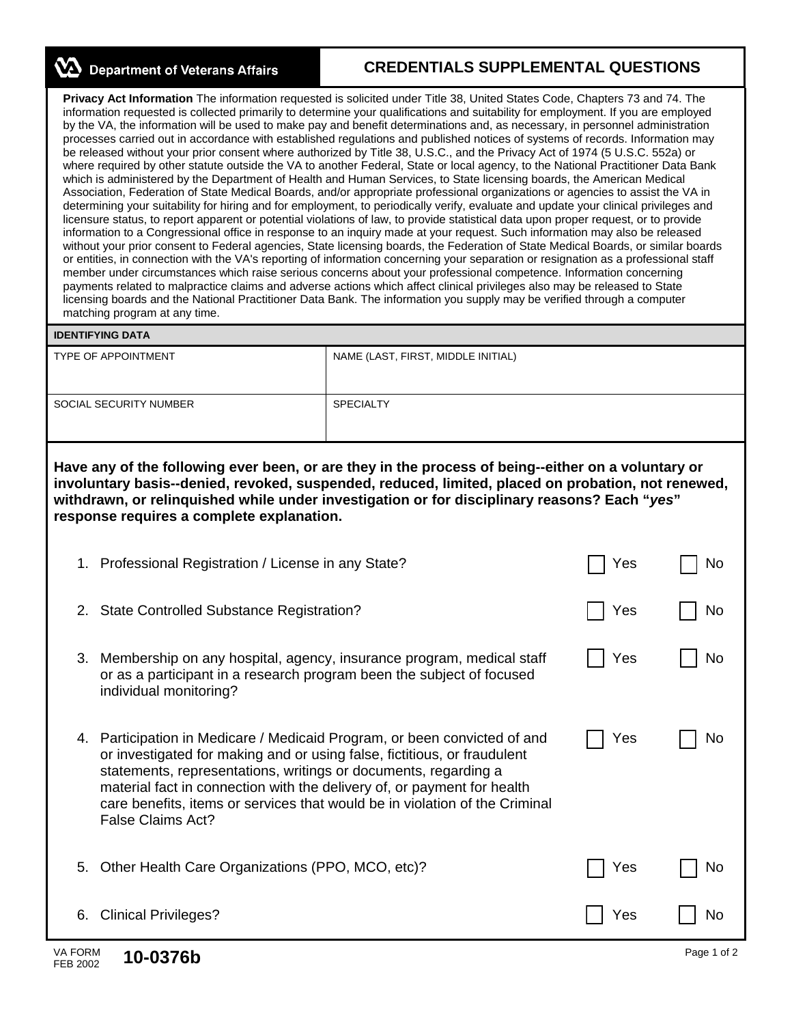**NA** Department of Veterans Affairs

## **CREDENTIALS SUPPLEMENTAL QUESTIONS**

**Privacy Act Information** The information requested is solicited under Title 38, United States Code, Chapters 73 and 74. The information requested is collected primarily to determine your qualifications and suitability for employment. If you are employed by the VA, the information will be used to make pay and benefit determinations and, as necessary, in personnel administration processes carried out in accordance with established regulations and published notices of systems of records. Information may be released without your prior consent where authorized by Title 38, U.S.C., and the Privacy Act of 1974 (5 U.S.C. 552a) or where required by other statute outside the VA to another Federal, State or local agency, to the National Practitioner Data Bank which is administered by the Department of Health and Human Services, to State licensing boards, the American Medical Association, Federation of State Medical Boards, and/or appropriate professional organizations or agencies to assist the VA in determining your suitability for hiring and for employment, to periodically verify, evaluate and update your clinical privileges and licensure status, to report apparent or potential violations of law, to provide statistical data upon proper request, or to provide information to a Congressional office in response to an inquiry made at your request. Such information may also be released without your prior consent to Federal agencies, State licensing boards, the Federation of State Medical Boards, or similar boards or entities, in connection with the VA's reporting of information concerning your separation or resignation as a professional staff member under circumstances which raise serious concerns about your professional competence. Information concerning payments related to malpractice claims and adverse actions which affect clinical privileges also may be released to State licensing boards and the National Practitioner Data Bank. The information you supply may be verified through a computer matching program at any time.

## **IDENTIFYING DATA**

| <b>TYPE OF APPOINTMENT</b> | NAME (LAST, FIRST, MIDDLE INITIAL) |
|----------------------------|------------------------------------|
| SOCIAL SECURITY NUMBER     | <b>SPECIALTY</b>                   |
|                            |                                    |

**Have any of the following ever been, or are they in the process of being--either on a voluntary or involuntary basis--denied, revoked, suspended, reduced, limited, placed on probation, not renewed, withdrawn, or relinquished while under investigation or for disciplinary reasons? Each "***yes***" response requires a complete explanation.** 

| 1. Professional Registration / License in any State?                                                                                                                                                                                                                                                                                                                                                              | Yes | No |
|-------------------------------------------------------------------------------------------------------------------------------------------------------------------------------------------------------------------------------------------------------------------------------------------------------------------------------------------------------------------------------------------------------------------|-----|----|
| 2. State Controlled Substance Registration?                                                                                                                                                                                                                                                                                                                                                                       | Yes | No |
| Membership on any hospital, agency, insurance program, medical staff<br>3.<br>or as a participant in a research program been the subject of focused<br>individual monitoring?                                                                                                                                                                                                                                     | Yes | No |
| Participation in Medicare / Medicaid Program, or been convicted of and<br>4.<br>or investigated for making and or using false, fictitious, or fraudulent<br>statements, representations, writings or documents, regarding a<br>material fact in connection with the delivery of, or payment for health<br>care benefits, items or services that would be in violation of the Criminal<br><b>False Claims Act?</b> | Yes | No |
| Other Health Care Organizations (PPO, MCO, etc)?<br>5.                                                                                                                                                                                                                                                                                                                                                            | Yes | No |
| <b>Clinical Privileges?</b><br>6.                                                                                                                                                                                                                                                                                                                                                                                 | Yes | No |